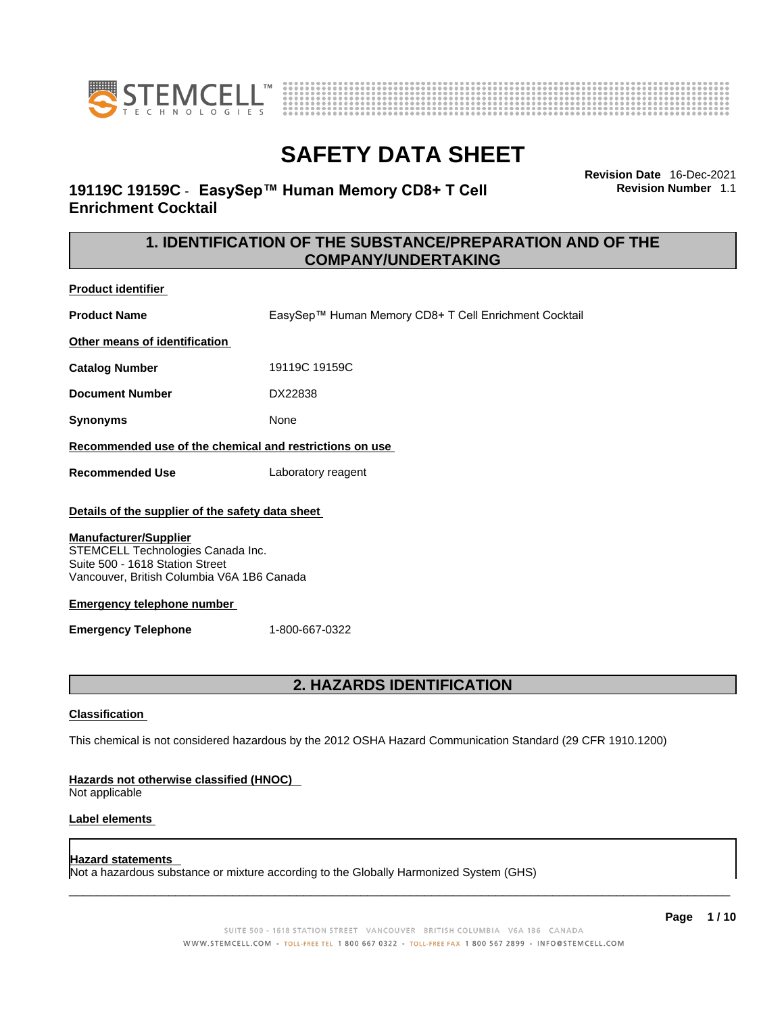



**Revision Date** 16-Dec-2021

**Revision Number** 1.1

# **SAFETY DATA SHEET**

**COMPANY/UNDERTAKING** 

### **19119C 19159C** - **EasySep™ Human Memory CD8+ T Cell Enrichment Cocktail**

**1. IDENTIFICATION OF THE SUBSTANCE/PREPARATION AND OF THE** 

**Product identifier**

**Product Name** EasySep™ Human Memory CD8+ T Cell Enrichment Cocktail

**Other means of identification**

**Catalog Number** 19119C 19159C

**Document Number** DX22838

**Synonyms** None

**Recommended use of the chemical and restrictions on use**

**Recommended Use** Laboratory reagent

#### **Details of the supplier of the safety data sheet**

#### **Manufacturer/Supplier**

STEMCELL Technologies Canada Inc. Suite 500 - 1618 Station Street Vancouver, British Columbia V6A 1B6 Canada

#### **Emergency telephone number**

**Emergency Telephone** 1-800-667-0322

## **2. HAZARDS IDENTIFICATION**

#### **Classification**

This chemical is not considered hazardous by the 2012 OSHA Hazard Communication Standard (29 CFR 1910.1200)

#### **Hazards not otherwise classified (HNOC)**

Not applicable

#### **Label elements**

#### **Hazard statements**

Not a hazardous substance or mixture according to the Globally Harmonized System (GHS)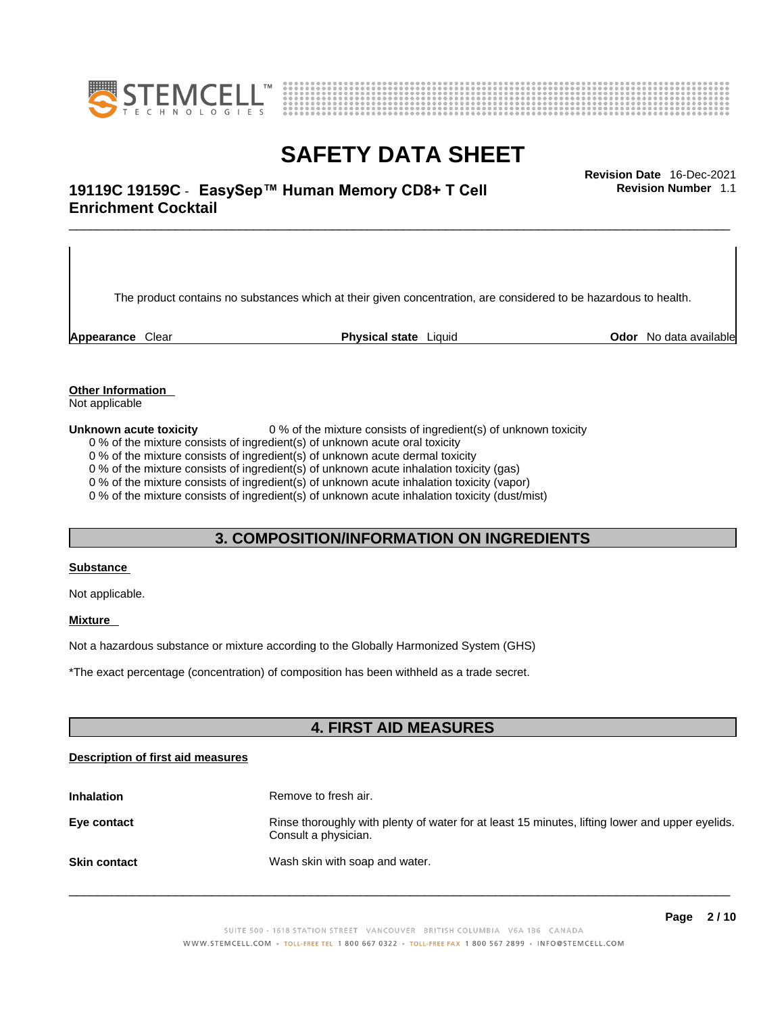



# \_\_\_\_\_\_\_\_\_\_\_\_\_\_\_\_\_\_\_\_\_\_\_\_\_\_\_\_\_\_\_\_\_\_\_\_\_\_\_\_\_\_\_\_\_\_\_\_\_\_\_\_\_\_\_\_\_\_\_\_\_\_\_\_\_\_\_\_\_\_\_\_\_\_\_\_\_\_\_\_\_\_\_\_\_\_\_\_\_\_\_\_\_ **Revision Date** 16-Dec-2021 **19119C 19159C** - **EasySep™ Human Memory CD8+ T Cell Enrichment Cocktail**

The product contains no substances which at their given concentration, are considered to be hazardous to health.

**Appearance** Clear **Physical state** Liquid **Odor** No data available

**Revision Number** 1.1

**Other Information** 

Not applicable

**Unknown acute toxicity** 0 % of the mixture consists of ingredient(s) of unknown toxicity

0 % of the mixture consists of ingredient(s) of unknown acute oral toxicity

0 % of the mixture consists of ingredient(s) of unknown acute dermal toxicity

0 % of the mixture consists of ingredient(s) of unknown acute inhalation toxicity (gas)

0 % of the mixture consists of ingredient(s) of unknown acute inhalation toxicity (vapor)

0 % of the mixture consists of ingredient(s) of unknown acute inhalation toxicity (dust/mist)

### **3. COMPOSITION/INFORMATION ON INGREDIENTS**

#### **Substance**

Not applicable.

#### **Mixture**

Not a hazardous substance or mixture according to the Globally Harmonized System (GHS)

\*The exact percentage (concentration) ofcomposition has been withheld as a trade secret.

### **4. FIRST AID MEASURES**

#### **Description of first aid measures**

| <b>Inhalation</b>   | Remove to fresh air.                                                                                                    |  |
|---------------------|-------------------------------------------------------------------------------------------------------------------------|--|
| Eye contact         | Rinse thoroughly with plenty of water for at least 15 minutes, lifting lower and upper eyelids.<br>Consult a physician. |  |
| <b>Skin contact</b> | Wash skin with soap and water.                                                                                          |  |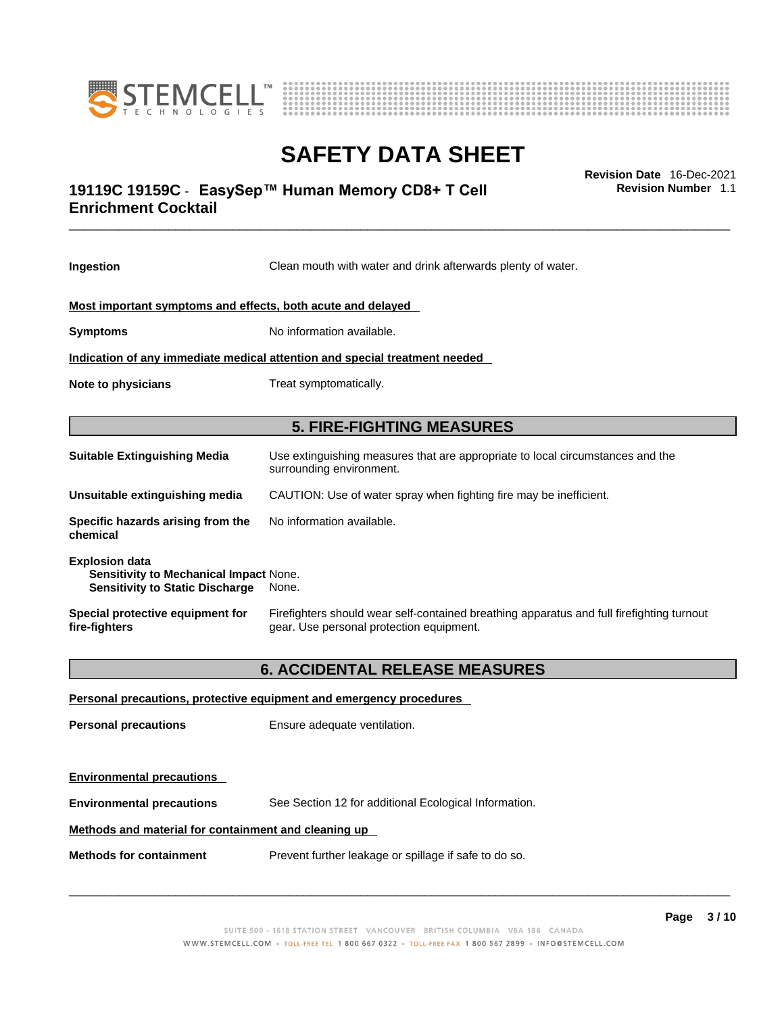



# \_\_\_\_\_\_\_\_\_\_\_\_\_\_\_\_\_\_\_\_\_\_\_\_\_\_\_\_\_\_\_\_\_\_\_\_\_\_\_\_\_\_\_\_\_\_\_\_\_\_\_\_\_\_\_\_\_\_\_\_\_\_\_\_\_\_\_\_\_\_\_\_\_\_\_\_\_\_\_\_\_\_\_\_\_\_\_\_\_\_\_\_\_ **Revision Date** 16-Dec-2021 **19119C 19159C** - **EasySep™ Human Memory CD8+ T Cell Enrichment Cocktail**

**Ingestion** Clean mouth with water and drink afterwards plenty of water. **Most important symptoms and effects, both acute and delayed Symptoms** No information available. **Indication of any immediate medical attention and special treatment needed Note to physicians** Treat symptomatically. **5. FIRE-FIGHTING MEASURES Suitable Extinguishing Media** Use extinguishing measures that are appropriate to local circumstances and the surrounding environment. **Unsuitable extinguishing media** CAUTION: Use of water spray when fighting fire may be inefficient. **Specific hazards arising from the chemical** No information available. **Explosion data Sensitivity to Mechanical Impact** None. **Sensitivity to Static Discharge** None. **Special protective equipment for fire-fighters** Firefighters should wear self-contained breathing apparatus and full firefighting turnout gear. Use personal protection equipment. **6. ACCIDENTAL RELEASE MEASURES** 

**Personal precautions, protective equipment and emergency procedures Personal precautions** Ensure adequate ventilation. **Environmental precautions Environmental precautions** See Section 12 for additional Ecological Information. **Methods and material for containment and cleaning up Methods for containment** Prevent further leakage or spillage if safe to do so.

 $\_$  ,  $\_$  ,  $\_$  ,  $\_$  ,  $\_$  ,  $\_$  ,  $\_$  ,  $\_$  ,  $\_$  ,  $\_$  ,  $\_$  ,  $\_$  ,  $\_$  ,  $\_$  ,  $\_$  ,  $\_$  ,  $\_$  ,  $\_$  ,  $\_$  ,  $\_$  ,  $\_$  ,  $\_$  ,  $\_$  ,  $\_$  ,  $\_$  ,  $\_$  ,  $\_$  ,  $\_$  ,  $\_$  ,  $\_$  ,  $\_$  ,  $\_$  ,  $\_$  ,  $\_$  ,  $\_$  ,  $\_$  ,  $\_$  ,

**Revision Number** 1.1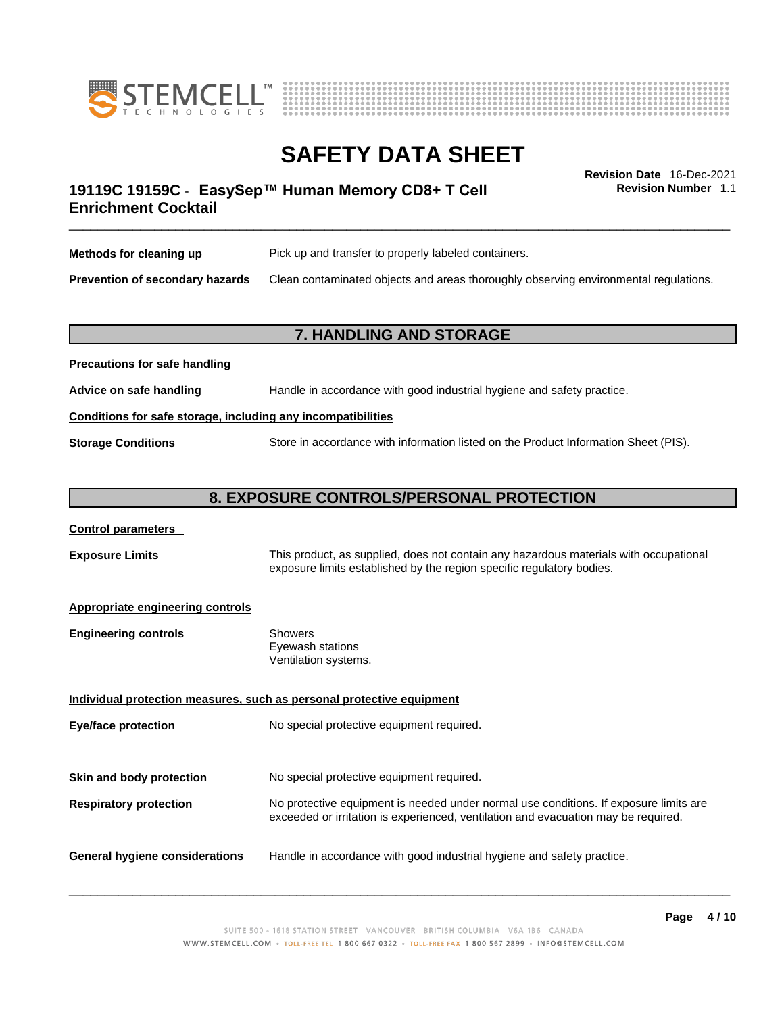



\_\_\_\_\_\_\_\_\_\_\_\_\_\_\_\_\_\_\_\_\_\_\_\_\_\_\_\_\_\_\_\_\_\_\_\_\_\_\_\_\_\_\_\_\_\_\_\_\_\_\_\_\_\_\_\_\_\_\_\_\_\_\_\_\_\_\_\_\_\_\_\_\_\_\_\_\_\_\_\_\_\_\_\_\_\_\_\_\_\_\_\_\_ **Revision Date** 16-Dec-2021 **19119C 19159C** - **EasySep™ Human Memory CD8+ T Cell Enrichment Cocktail** 

**Revision Number** 1.1

| Methods for cleaning up         | Pick up and transfer to properly labeled containers.                                 |  |
|---------------------------------|--------------------------------------------------------------------------------------|--|
| Prevention of secondary hazards | Clean contaminated objects and areas thoroughly observing environmental regulations. |  |

### **7. HANDLING AND STORAGE**

| Advice on safe handling                                      | Handle in accordance with good industrial hygiene and safety practice.              |  |  |  |
|--------------------------------------------------------------|-------------------------------------------------------------------------------------|--|--|--|
| Conditions for safe storage, including any incompatibilities |                                                                                     |  |  |  |
| <b>Storage Conditions</b>                                    | Store in accordance with information listed on the Product Information Sheet (PIS). |  |  |  |

### **8. EXPOSURE CONTROLS/PERSONAL PROTECTION**

| <b>Control parameters</b> |
|---------------------------|
|---------------------------|

**Precautions for safe handling**

**Exposure Limits** This product, as supplied, does not contain any hazardous materials with occupational exposure limits established by the region specific regulatory bodies.

#### **Appropriate engineering controls**

| <b>Engineering controls</b> | Showers              |  |
|-----------------------------|----------------------|--|
|                             | Eyewash stations     |  |
|                             | Ventilation systems. |  |
|                             |                      |  |

**Individual protection measures, such as personal protective equipment Eye/face protection** No special protective equipment required. **Skin and body protection** No special protective equipment required. **Respiratory protection** No protective equipment is needed under normal use conditions. If exposure limits are exceeded or irritation is experienced, ventilation and evacuation may be required. **General hygiene considerations** Handle in accordance with good industrial hygiene and safety practice.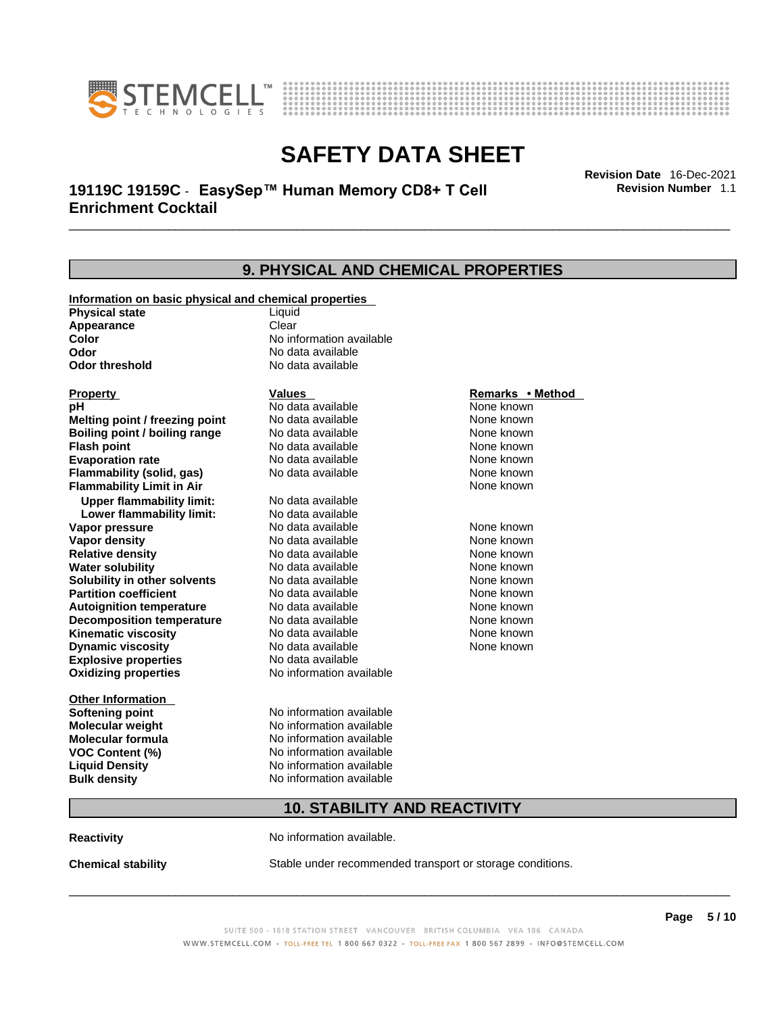



# \_\_\_\_\_\_\_\_\_\_\_\_\_\_\_\_\_\_\_\_\_\_\_\_\_\_\_\_\_\_\_\_\_\_\_\_\_\_\_\_\_\_\_\_\_\_\_\_\_\_\_\_\_\_\_\_\_\_\_\_\_\_\_\_\_\_\_\_\_\_\_\_\_\_\_\_\_\_\_\_\_\_\_\_\_\_\_\_\_\_\_\_\_ **Revision Date** 16-Dec-2021 **19119C 19159C** - **EasySep™ Human Memory CD8+ T Cell Enrichment Cocktail**

**9. PHYSICAL AND CHEMICAL PROPERTIES Information on basic physical and chemical properties Physical state** Liquid **Appearance** Clear<br> **Color** No int **Color Color Color Color Color Color Color No** data available **Odor Odor Constanting Codor Constanting Codor Codor Codor Codor Codor Codor Codor Codor Codor Codor Codor Codor Codor Codor Codor Codor Codor Codor Codor Codor Codor Codor Codor No data available Explosive properties** No data available **Oxidizing properties** No information available **Other Information Softening point** No information available **Molecular weight** No information available **Molecular formula** No information available<br>**VOC Content (%)** No information available **VOC Content (%) Liquid Density** No information available **Bulk density No information available 10. STABILITY AND REACTIVITY Property CONSCRUTE IN THE VALUES REMARKS • Method pH** No data available None known **Melting point / freezing point Boiling point / boiling range No data available None known Flash point Communist Communist Communist Communist Communist Communist Communist Communist Communist Communist Communist Communist Communist Communist Communist Communist Communist Communist Communist Communist Communi Evaporation rate Reserve ACC** No data available **None known** None known **Flammability (solid, gas)** No data available None known **Flammability Limit in Air None known None known Upper flammability limit:** No data available **Lower flammability limit:** No data available **Vapor pressure No data available None known Vapor density No data available None known Relative density No data available None known** None known **Water solubility No data available** Mome known<br> **Solubility in other solvents** No data available **None known**<br>
None known **Solubility in other solvents** No data available **None known**<br> **Partition coefficient** No data available None known **Partition coefficient**<br>**Autoignition temperature** No data available **Autoignition temperature** No data available None known<br> **Decomposition temperature** No data available None known **Decomposition temperature** No data available None known<br> **Kinematic viscosity** No data available None known **Kinematic viscosity** No data available<br> **Dynamic viscosity** No data available **Dynamic viscosity** None known

**Reactivity No information available.** 

**Chemical stability** Stable under recommended transport or storage conditions.

 $\_$  ,  $\_$  ,  $\_$  ,  $\_$  ,  $\_$  ,  $\_$  ,  $\_$  ,  $\_$  ,  $\_$  ,  $\_$  ,  $\_$  ,  $\_$  ,  $\_$  ,  $\_$  ,  $\_$  ,  $\_$  ,  $\_$  ,  $\_$  ,  $\_$  ,  $\_$  ,  $\_$  ,  $\_$  ,  $\_$  ,  $\_$  ,  $\_$  ,  $\_$  ,  $\_$  ,  $\_$  ,  $\_$  ,  $\_$  ,  $\_$  ,  $\_$  ,  $\_$  ,  $\_$  ,  $\_$  ,  $\_$  ,  $\_$  ,

**Revision Number** 1.1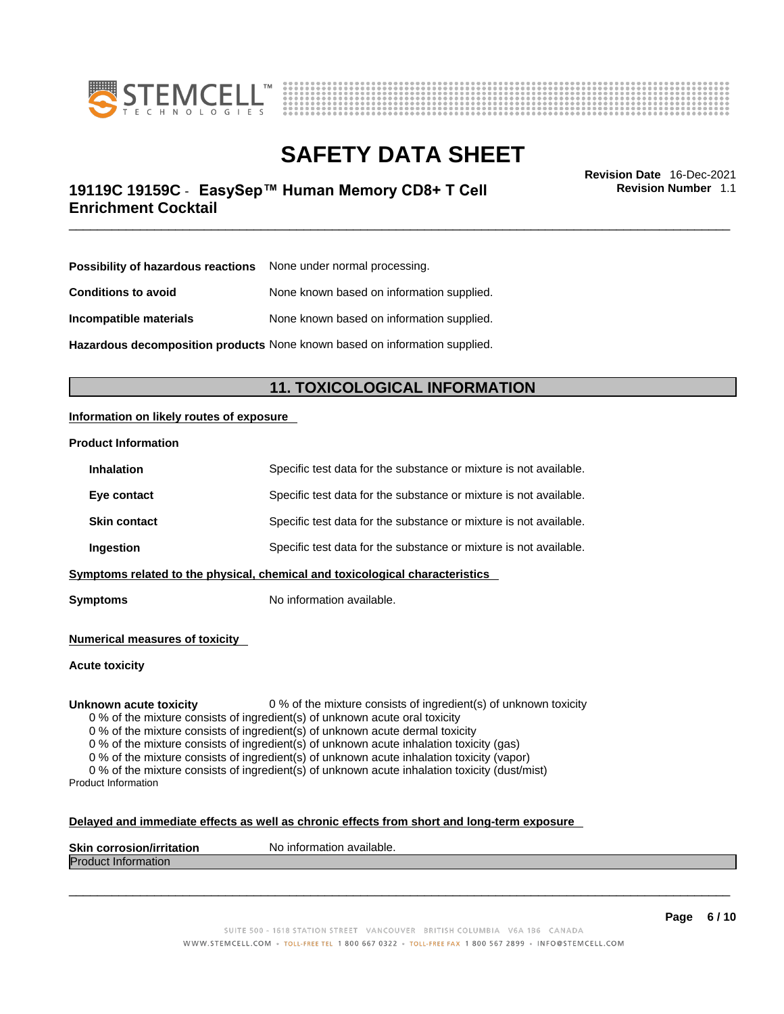



# \_\_\_\_\_\_\_\_\_\_\_\_\_\_\_\_\_\_\_\_\_\_\_\_\_\_\_\_\_\_\_\_\_\_\_\_\_\_\_\_\_\_\_\_\_\_\_\_\_\_\_\_\_\_\_\_\_\_\_\_\_\_\_\_\_\_\_\_\_\_\_\_\_\_\_\_\_\_\_\_\_\_\_\_\_\_\_\_\_\_\_\_\_ **Revision Date** 16-Dec-2021 **19119C 19159C** - **EasySep™ Human Memory CD8+ T Cell Enrichment Cocktail**

**Revision Number** 1.1

| <b>Possibility of hazardous reactions</b> None under normal processing. |  |
|-------------------------------------------------------------------------|--|
| None known based on information supplied.                               |  |
| None known based on information supplied.                               |  |
|                                                                         |  |

**Hazardous decomposition products** None known based on information supplied.

### **11. TOXICOLOGICAL INFORMATION**

#### **Information on likely routes of exposure**

#### **Product Information**

|                                                                                        | Ingestion           | Specific test data for the substance or mixture is not available. |
|----------------------------------------------------------------------------------------|---------------------|-------------------------------------------------------------------|
|                                                                                        | <b>Skin contact</b> | Specific test data for the substance or mixture is not available. |
| Eye contact                                                                            |                     | Specific test data for the substance or mixture is not available. |
| Specific test data for the substance or mixture is not available.<br><b>Inhalation</b> |                     |                                                                   |

**Symptoms** No information available.

**Numerical measures of toxicity**

**Acute toxicity**

**Unknown acute toxicity** 0 % of the mixture consists of ingredient(s) of unknown toxicity

0 % of the mixture consists of ingredient(s) of unknown acute oral toxicity

0 % of the mixture consists of ingredient(s) of unknown acute dermal toxicity

0 % of the mixture consists of ingredient(s) of unknown acute inhalation toxicity (gas)

0 % of the mixture consists of ingredient(s) of unknown acute inhalation toxicity (vapor)

0 % of the mixture consists of ingredient(s) of unknown acute inhalation toxicity (dust/mist) Product Information

#### **Delayed and immediate effects as well as chronic effects from short and long-term exposure**

| <b>Skin</b><br><b>Virritation</b><br>Nο<br>. corros | inform<br>mation available. |
|-----------------------------------------------------|-----------------------------|
| Proo<br>nauon                                       |                             |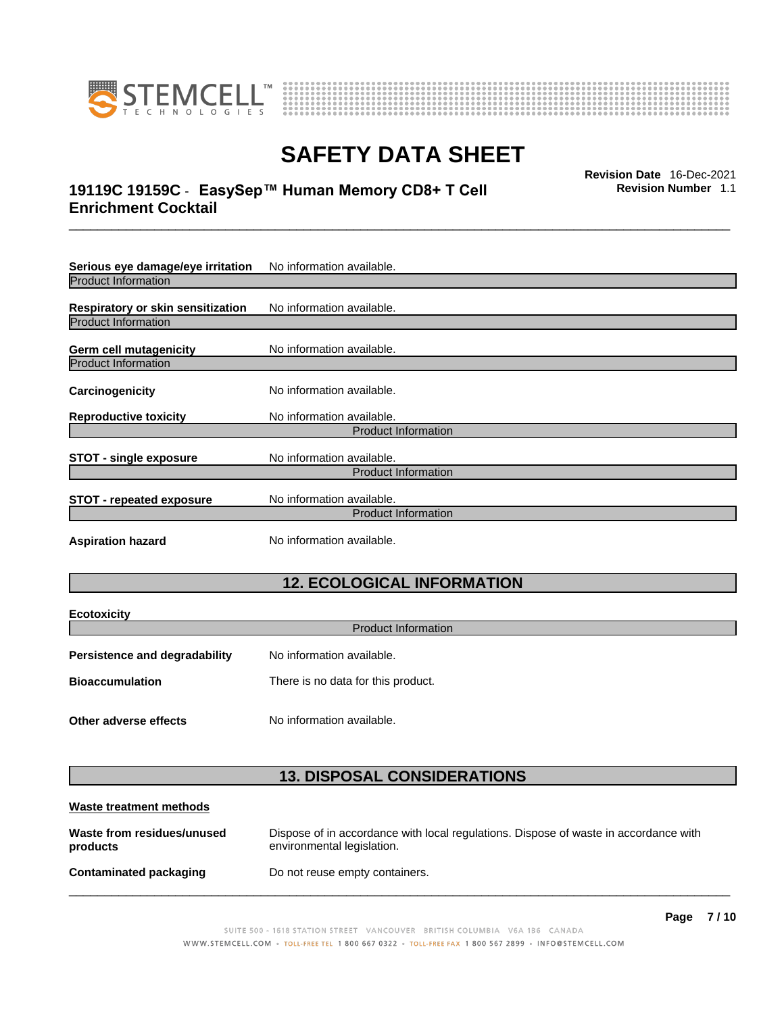



# \_\_\_\_\_\_\_\_\_\_\_\_\_\_\_\_\_\_\_\_\_\_\_\_\_\_\_\_\_\_\_\_\_\_\_\_\_\_\_\_\_\_\_\_\_\_\_\_\_\_\_\_\_\_\_\_\_\_\_\_\_\_\_\_\_\_\_\_\_\_\_\_\_\_\_\_\_\_\_\_\_\_\_\_\_\_\_\_\_\_\_\_\_ **Revision Date** 16-Dec-2021 **19119C 19159C** - **EasySep™ Human Memory CD8+ T Cell Enrichment Cocktail**

**Revision Number** 1.1

| Serious eye damage/eye irritation                                                          | No information available.  |  |
|--------------------------------------------------------------------------------------------|----------------------------|--|
| <b>Product Information</b>                                                                 |                            |  |
| Respiratory or skin sensitization                                                          | No information available.  |  |
| <b>Product Information</b>                                                                 |                            |  |
| Germ cell mutagenicity                                                                     | No information available.  |  |
| <b>Product Information</b>                                                                 |                            |  |
| Carcinogenicity                                                                            | No information available.  |  |
| <b>Reproductive toxicity</b>                                                               | No information available.  |  |
|                                                                                            | <b>Product Information</b> |  |
| <b>STOT - single exposure</b>                                                              | No information available.  |  |
|                                                                                            | <b>Product Information</b> |  |
| No information available.<br><b>STOT - repeated exposure</b><br><b>Product Information</b> |                            |  |
|                                                                                            |                            |  |
| <b>Aspiration hazard</b>                                                                   | No information available.  |  |

# **12. ECOLOGICAL INFORMATION**

| <b>Ecotoxicity</b><br><b>Product Information</b> |                                    |  |
|--------------------------------------------------|------------------------------------|--|
| Persistence and degradability                    | No information available.          |  |
| <b>Bioaccumulation</b>                           | There is no data for this product. |  |
| Other adverse effects                            | No information available.          |  |

## **13. DISPOSAL CONSIDERATIONS**

| Waste treatment methods                |                                                                                                                    |  |
|----------------------------------------|--------------------------------------------------------------------------------------------------------------------|--|
| Waste from residues/unused<br>products | Dispose of in accordance with local regulations. Dispose of waste in accordance with<br>environmental legislation. |  |
| Contaminated packaging                 | Do not reuse empty containers.                                                                                     |  |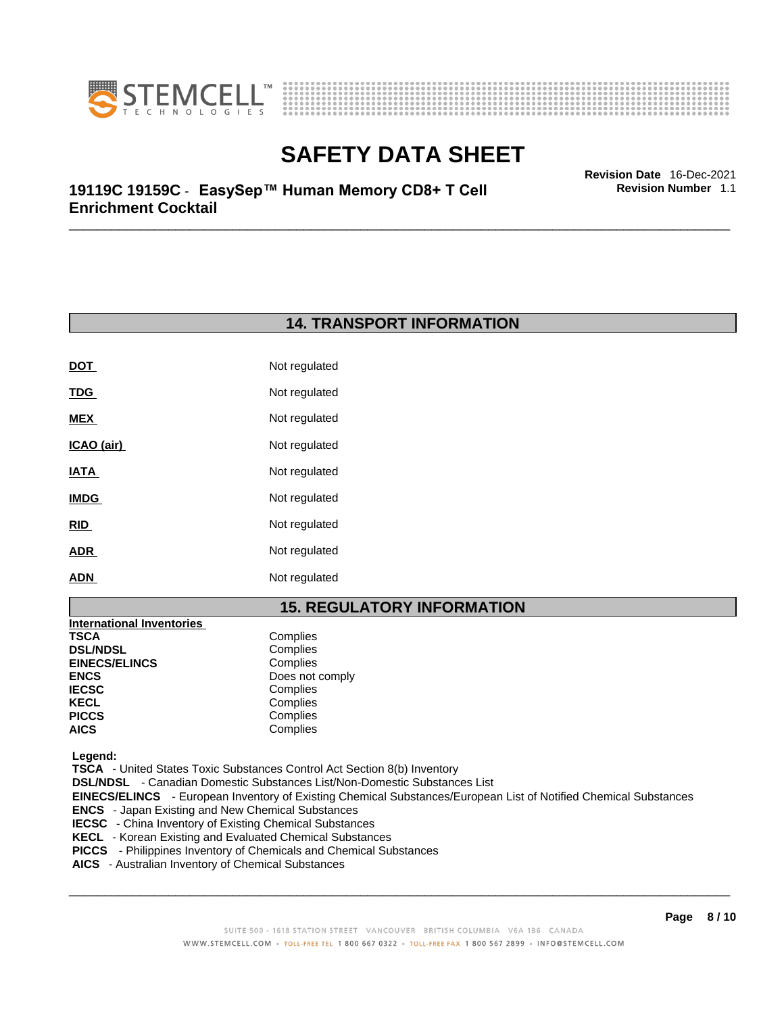



**Revision Number** 1.1

\_\_\_\_\_\_\_\_\_\_\_\_\_\_\_\_\_\_\_\_\_\_\_\_\_\_\_\_\_\_\_\_\_\_\_\_\_\_\_\_\_\_\_\_\_\_\_\_\_\_\_\_\_\_\_\_\_\_\_\_\_\_\_\_\_\_\_\_\_\_\_\_\_\_\_\_\_\_\_\_\_\_\_\_\_\_\_\_\_\_\_\_\_ **Revision Date** 16-Dec-2021 **19119C 19159C** - **EasySep™ Human Memory CD8+ T Cell Enrichment Cocktail** 

## **14. TRANSPORT INFORMATION**

| <b>DOT</b>  | Not regulated |
|-------------|---------------|
| <u>TDG</u>  | Not regulated |
| MEX         | Not regulated |
| ICAO (air)  | Not regulated |
| IATA        | Not regulated |
| <b>IMDG</b> | Not regulated |
| RID         | Not regulated |
| <b>ADR</b>  | Not regulated |
| <b>ADN</b>  | Not regulated |

### **15. REGULATORY INFORMATION**

| <b>International Inventories</b> |                 |
|----------------------------------|-----------------|
| TSCA                             | Complies        |
| <b>DSL/NDSL</b>                  | Complies        |
| <b>EINECS/ELINCS</b>             | Complies        |
| ENCS                             | Does not comply |
| <b>IECSC</b>                     | Complies        |
| KECL                             | Complies        |
| PICCS                            | Complies        |
| AICS                             | Complies        |
|                                  |                 |

 **Legend:** 

 **TSCA** - United States Toxic Substances Control Act Section 8(b) Inventory

 **DSL/NDSL** - Canadian Domestic Substances List/Non-Domestic Substances List

 **EINECS/ELINCS** - European Inventory of Existing Chemical Substances/European List of Notified Chemical Substances

- **ENCS**  Japan Existing and New Chemical Substances
- **IECSC**  China Inventory of Existing Chemical Substances
- **KECL**  Korean Existing and Evaluated Chemical Substances
- **PICCS**  Philippines Inventory of Chemicals and Chemical Substances
- **AICS**  Australian Inventory of Chemical Substances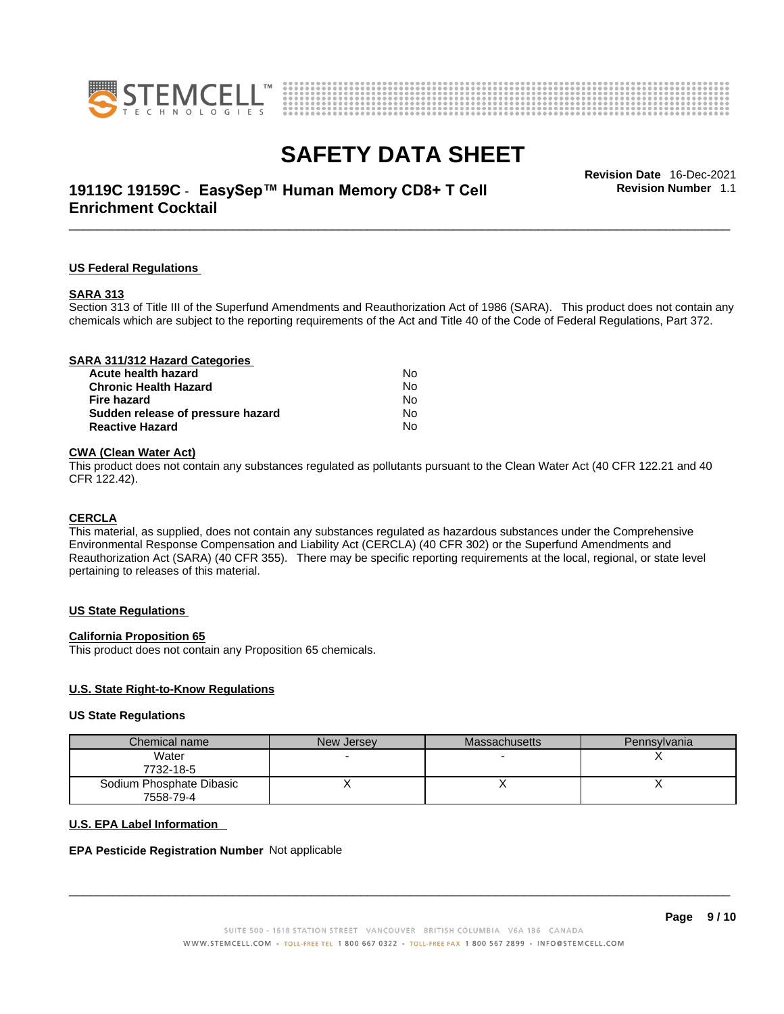



# \_\_\_\_\_\_\_\_\_\_\_\_\_\_\_\_\_\_\_\_\_\_\_\_\_\_\_\_\_\_\_\_\_\_\_\_\_\_\_\_\_\_\_\_\_\_\_\_\_\_\_\_\_\_\_\_\_\_\_\_\_\_\_\_\_\_\_\_\_\_\_\_\_\_\_\_\_\_\_\_\_\_\_\_\_\_\_\_\_\_\_\_\_ **Revision Date** 16-Dec-2021 **19119C 19159C** - **EasySep™ Human Memory CD8+ T Cell Enrichment Cocktail**

**Revision Number** 1.1

#### **US Federal Regulations**

#### **SARA 313**

Section 313 of Title III of the Superfund Amendments and Reauthorization Act of 1986 (SARA). This product does not contain any chemicals which are subject to the reporting requirements of the Act and Title 40 of the Code of Federal Regulations, Part 372.

### **CWA** (Clean Water Act)

This product does not contain any substances regulated as pollutants pursuant to the Clean Water Act (40 CFR 122.21 and 40 CFR 122.42).

#### **CERCLA**

This material, as supplied, does not contain any substances regulated as hazardous substances under the Comprehensive Environmental Response Compensation and Liability Act (CERCLA) (40 CFR 302) or the Superfund Amendments and Reauthorization Act (SARA) (40 CFR 355). There may be specific reporting requirements at the local, regional, or state level pertaining to releases of this material.

#### **US State Regulations**

#### **California Proposition 65**

This product does not contain any Proposition 65 chemicals.

#### **U.S. State Right-to-Know Regulations**

#### **US State Regulations**

| Chemical name            | New Jersey | <b>Massachusetts</b> | Pennsylvania |
|--------------------------|------------|----------------------|--------------|
| Water                    |            |                      |              |
| 7732-18-5                |            |                      |              |
| Sodium Phosphate Dibasic |            |                      |              |
| 7558-79-4                |            |                      |              |

#### **U.S. EPA Label Information**

#### **EPA Pesticide Registration Number** Not applicable